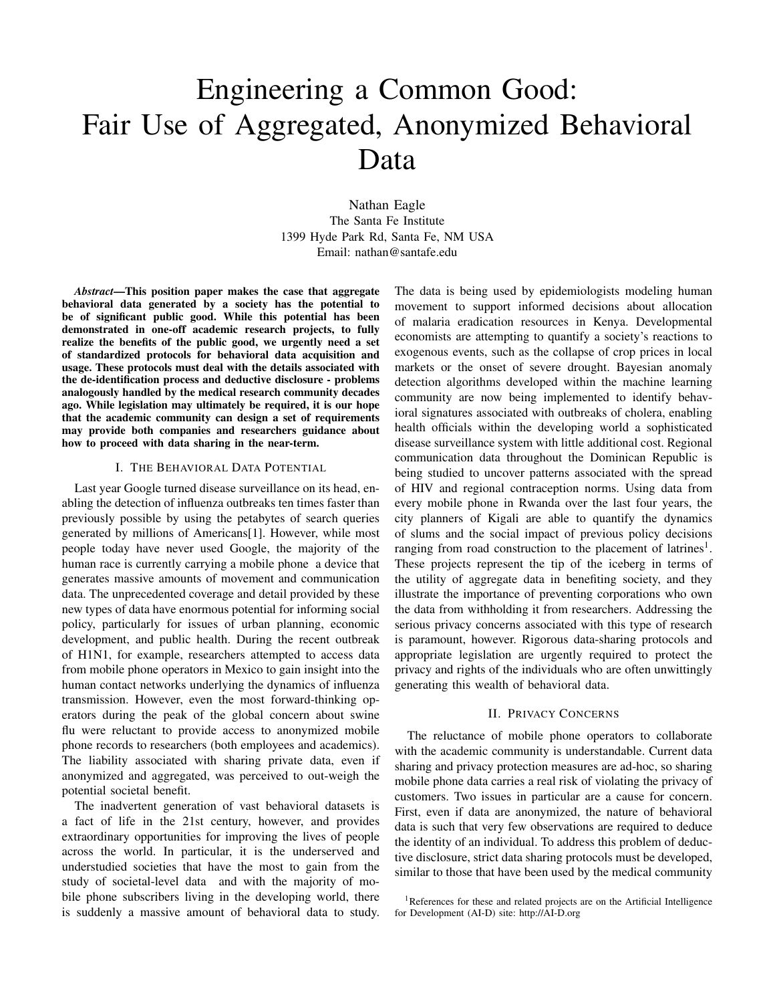# Engineering a Common Good: Fair Use of Aggregated, Anonymized Behavioral Data

Nathan Eagle The Santa Fe Institute 1399 Hyde Park Rd, Santa Fe, NM USA Email: nathan@santafe.edu

*Abstract*—This position paper makes the case that aggregate behavioral data generated by a society has the potential to be of significant public good. While this potential has been demonstrated in one-off academic research projects, to fully realize the benefits of the public good, we urgently need a set of standardized protocols for behavioral data acquisition and usage. These protocols must deal with the details associated with the de-identification process and deductive disclosure - problems analogously handled by the medical research community decades ago. While legislation may ultimately be required, it is our hope that the academic community can design a set of requirements may provide both companies and researchers guidance about how to proceed with data sharing in the near-term.

# I. THE BEHAVIORAL DATA POTENTIAL

Last year Google turned disease surveillance on its head, enabling the detection of influenza outbreaks ten times faster than previously possible by using the petabytes of search queries generated by millions of Americans[1]. However, while most people today have never used Google, the majority of the human race is currently carrying a mobile phone a device that generates massive amounts of movement and communication data. The unprecedented coverage and detail provided by these new types of data have enormous potential for informing social policy, particularly for issues of urban planning, economic development, and public health. During the recent outbreak of H1N1, for example, researchers attempted to access data from mobile phone operators in Mexico to gain insight into the human contact networks underlying the dynamics of influenza transmission. However, even the most forward-thinking operators during the peak of the global concern about swine flu were reluctant to provide access to anonymized mobile phone records to researchers (both employees and academics). The liability associated with sharing private data, even if anonymized and aggregated, was perceived to out-weigh the potential societal benefit.

The inadvertent generation of vast behavioral datasets is a fact of life in the 21st century, however, and provides extraordinary opportunities for improving the lives of people across the world. In particular, it is the underserved and understudied societies that have the most to gain from the study of societal-level data and with the majority of mobile phone subscribers living in the developing world, there is suddenly a massive amount of behavioral data to study. The data is being used by epidemiologists modeling human movement to support informed decisions about allocation of malaria eradication resources in Kenya. Developmental economists are attempting to quantify a society's reactions to exogenous events, such as the collapse of crop prices in local markets or the onset of severe drought. Bayesian anomaly detection algorithms developed within the machine learning community are now being implemented to identify behavioral signatures associated with outbreaks of cholera, enabling health officials within the developing world a sophisticated disease surveillance system with little additional cost. Regional communication data throughout the Dominican Republic is being studied to uncover patterns associated with the spread of HIV and regional contraception norms. Using data from every mobile phone in Rwanda over the last four years, the city planners of Kigali are able to quantify the dynamics of slums and the social impact of previous policy decisions ranging from road construction to the placement of latrines<sup>1</sup>. These projects represent the tip of the iceberg in terms of the utility of aggregate data in benefiting society, and they illustrate the importance of preventing corporations who own the data from withholding it from researchers. Addressing the serious privacy concerns associated with this type of research is paramount, however. Rigorous data-sharing protocols and appropriate legislation are urgently required to protect the privacy and rights of the individuals who are often unwittingly generating this wealth of behavioral data.

#### II. PRIVACY CONCERNS

The reluctance of mobile phone operators to collaborate with the academic community is understandable. Current data sharing and privacy protection measures are ad-hoc, so sharing mobile phone data carries a real risk of violating the privacy of customers. Two issues in particular are a cause for concern. First, even if data are anonymized, the nature of behavioral data is such that very few observations are required to deduce the identity of an individual. To address this problem of deductive disclosure, strict data sharing protocols must be developed, similar to those that have been used by the medical community

<sup>1</sup>References for these and related projects are on the Artificial Intelligence for Development (AI-D) site: http://AI-D.org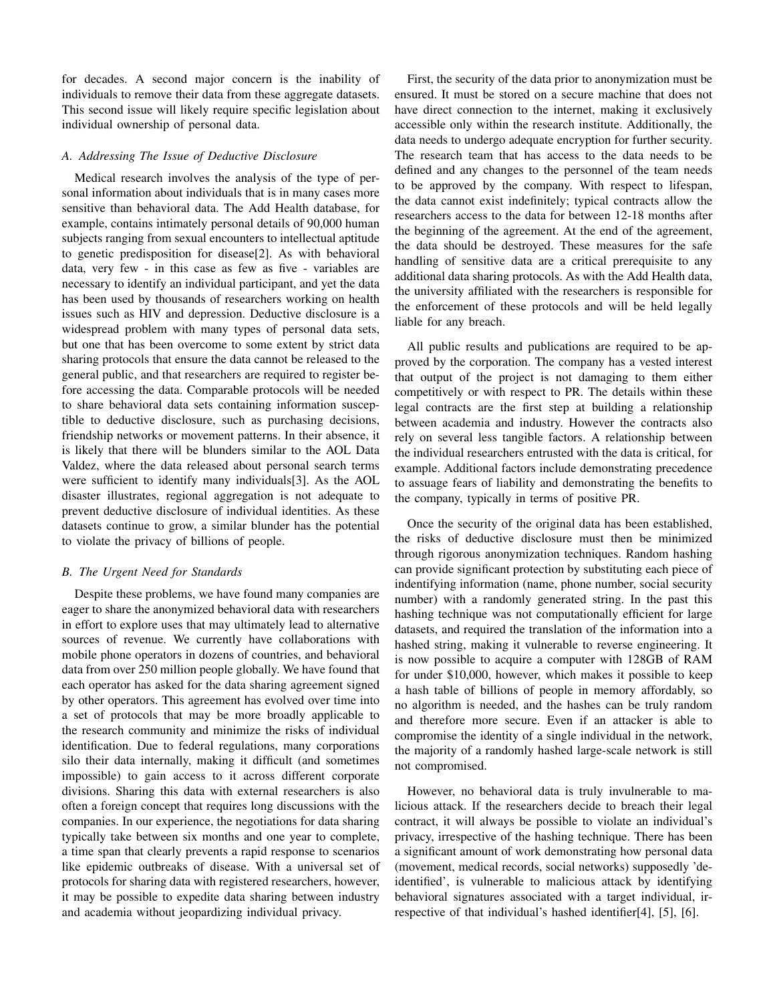for decades. A second major concern is the inability of individuals to remove their data from these aggregate datasets. This second issue will likely require specific legislation about individual ownership of personal data.

## *A. Addressing The Issue of Deductive Disclosure*

Medical research involves the analysis of the type of personal information about individuals that is in many cases more sensitive than behavioral data. The Add Health database, for example, contains intimately personal details of 90,000 human subjects ranging from sexual encounters to intellectual aptitude to genetic predisposition for disease[2]. As with behavioral data, very few - in this case as few as five - variables are necessary to identify an individual participant, and yet the data has been used by thousands of researchers working on health issues such as HIV and depression. Deductive disclosure is a widespread problem with many types of personal data sets, but one that has been overcome to some extent by strict data sharing protocols that ensure the data cannot be released to the general public, and that researchers are required to register before accessing the data. Comparable protocols will be needed to share behavioral data sets containing information susceptible to deductive disclosure, such as purchasing decisions, friendship networks or movement patterns. In their absence, it is likely that there will be blunders similar to the AOL Data Valdez, where the data released about personal search terms were sufficient to identify many individuals[3]. As the AOL disaster illustrates, regional aggregation is not adequate to prevent deductive disclosure of individual identities. As these datasets continue to grow, a similar blunder has the potential to violate the privacy of billions of people.

# *B. The Urgent Need for Standards*

Despite these problems, we have found many companies are eager to share the anonymized behavioral data with researchers in effort to explore uses that may ultimately lead to alternative sources of revenue. We currently have collaborations with mobile phone operators in dozens of countries, and behavioral data from over 250 million people globally. We have found that each operator has asked for the data sharing agreement signed by other operators. This agreement has evolved over time into a set of protocols that may be more broadly applicable to the research community and minimize the risks of individual identification. Due to federal regulations, many corporations silo their data internally, making it difficult (and sometimes impossible) to gain access to it across different corporate divisions. Sharing this data with external researchers is also often a foreign concept that requires long discussions with the companies. In our experience, the negotiations for data sharing typically take between six months and one year to complete, a time span that clearly prevents a rapid response to scenarios like epidemic outbreaks of disease. With a universal set of protocols for sharing data with registered researchers, however, it may be possible to expedite data sharing between industry and academia without jeopardizing individual privacy.

First, the security of the data prior to anonymization must be ensured. It must be stored on a secure machine that does not have direct connection to the internet, making it exclusively accessible only within the research institute. Additionally, the data needs to undergo adequate encryption for further security. The research team that has access to the data needs to be defined and any changes to the personnel of the team needs to be approved by the company. With respect to lifespan, the data cannot exist indefinitely; typical contracts allow the researchers access to the data for between 12-18 months after the beginning of the agreement. At the end of the agreement, the data should be destroyed. These measures for the safe handling of sensitive data are a critical prerequisite to any additional data sharing protocols. As with the Add Health data, the university affiliated with the researchers is responsible for the enforcement of these protocols and will be held legally liable for any breach.

All public results and publications are required to be approved by the corporation. The company has a vested interest that output of the project is not damaging to them either competitively or with respect to PR. The details within these legal contracts are the first step at building a relationship between academia and industry. However the contracts also rely on several less tangible factors. A relationship between the individual researchers entrusted with the data is critical, for example. Additional factors include demonstrating precedence to assuage fears of liability and demonstrating the benefits to the company, typically in terms of positive PR.

Once the security of the original data has been established, the risks of deductive disclosure must then be minimized through rigorous anonymization techniques. Random hashing can provide significant protection by substituting each piece of indentifying information (name, phone number, social security number) with a randomly generated string. In the past this hashing technique was not computationally efficient for large datasets, and required the translation of the information into a hashed string, making it vulnerable to reverse engineering. It is now possible to acquire a computer with 128GB of RAM for under \$10,000, however, which makes it possible to keep a hash table of billions of people in memory affordably, so no algorithm is needed, and the hashes can be truly random and therefore more secure. Even if an attacker is able to compromise the identity of a single individual in the network, the majority of a randomly hashed large-scale network is still not compromised.

However, no behavioral data is truly invulnerable to malicious attack. If the researchers decide to breach their legal contract, it will always be possible to violate an individual's privacy, irrespective of the hashing technique. There has been a significant amount of work demonstrating how personal data (movement, medical records, social networks) supposedly 'deidentified', is vulnerable to malicious attack by identifying behavioral signatures associated with a target individual, irrespective of that individual's hashed identifier[4], [5], [6].